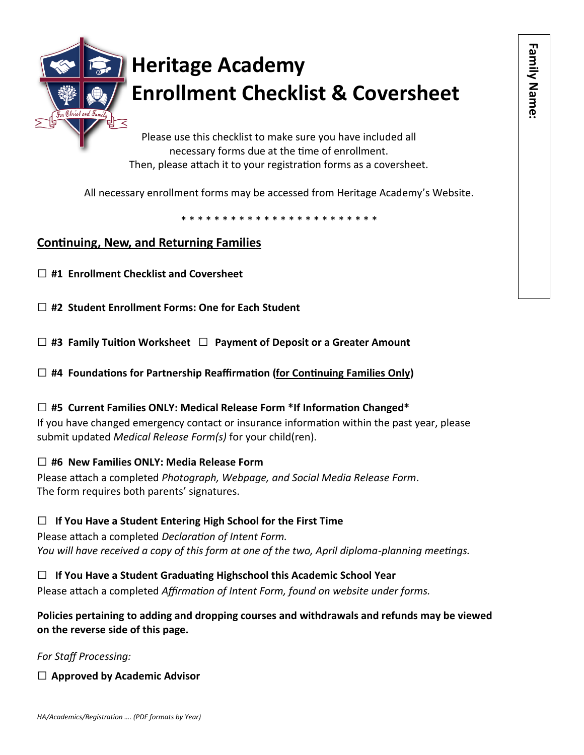

Please use this checklist to make sure you have included all necessary forms due at the time of enrollment. Then, please attach it to your registration forms as a coversheet.

All necessary enrollment forms may be accessed from Heritage Academy's Website.

\* \* \* \* \* \* \* \* \* \* \* \* \* \* \* \* \* \* \* \* \* \* \* \*

## **Continuing, New, and Returning Families**

**□ #1 Enrollment Checklist and Coversheet**

**□ #2 Student Enrollment Forms: One for Each Student**

**□ #3 Family Tuition Worksheet □ Payment of Deposit or a Greater Amount**

**□ #4 Foundations for Partnership Reaffirmation (for Continuing Families Only)**

### **□ #5 Current Families ONLY: Medical Release Form \*If Information Changed\***

If you have changed emergency contact or insurance information within the past year, please submit updated *Medical Release Form(s)* for your child(ren).

### **□ #6 New Families ONLY: Media Release Form**

Please attach a completed *Photograph, Webpage, and Social Media Release Form*. The form requires both parents' signatures.

### **□ If You Have a Student Entering High School for the First Time**

Please attach a completed *Declaration of Intent Form. You will have received a copy of this form at one of the two, April diploma-planning meetings.* 

**□ If You Have a Student Graduating Highschool this Academic School Year** Please attach a completed *Affirmation of Intent Form, found on website under forms.*

**Policies pertaining to adding and dropping courses and withdrawals and refunds may be viewed on the reverse side of this page.** 

### *For Staff Processing:*

**□ Approved by Academic Advisor**